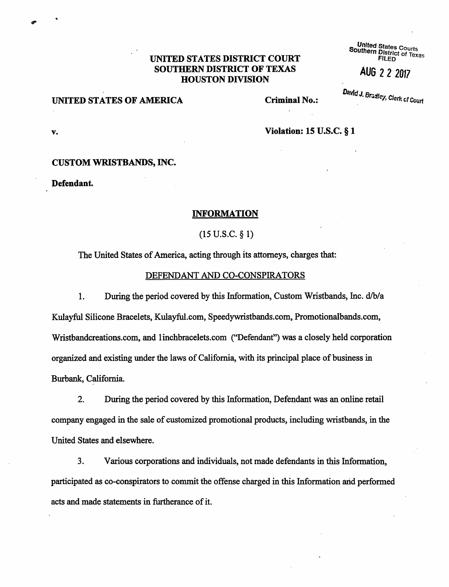# UNITED STATES DISTRICT COURT SOUTHERN DISTRICT OF TEXAS<br>HOUSTON DIVISION<br>HOUSTON DIVISION

UNITED STATES OF AMERICA Criminal No.:

**Southern District of Text**<br>Southern District of Text

**v. Violation: 15 U.S.C.** § **1** 

#### **CUSTOM WRISTBANDS, INC.**

**Defendant.** 

#### **INFORMATION**

(15 u.s.c. § 1)

The United States of America, acting through its attorneys, charges that:

## DEFENDANT AND CO-CONSPIRATORS

1. During the period covered by this Information, Custom Wristbands, Inc. d/b/a Kulayful Silicone Bracelets, Kulayful.com, Speedywristbands.com, Promotionalbands.com, Wristbandcreations.com, and linchbracelets.com ("Defendant") was a closely held corporation organized and existing under the laws of California, with its principal place of business in Burbank, California.

2. During the period covered by this Information, Defendant was an online retail .company engaged in the sale of customized promotional products, including wristbands, in the United States and elsewhere.

3. Various corporations and individuals, not made defendants in this Information, participated as co-conspirators to commit the offense charged in this Information arid performed acts and made statements in furtherance of it.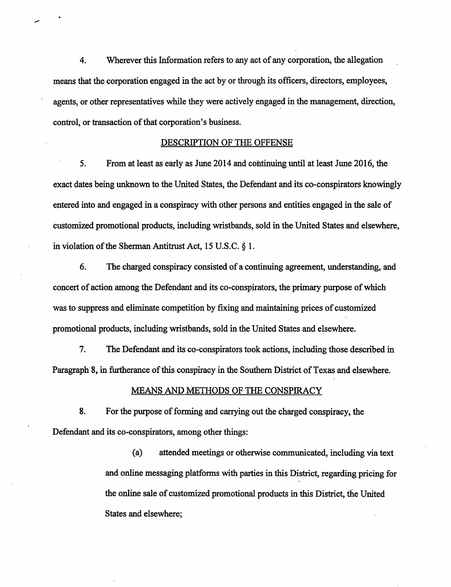4. Wherever this Information refers to any act of any corporation, the allegation means that the corporation engaged in the act by or through its officers, directors, employees, agents, or other representatives while they were actively engaged in the management, direction, control, or transaction of that corporation's business.

#### DESCRIPTION OF THE OFFENSE

5. From at least as early as June 2014 and continuing until at least June 2016, the exact dates being unknown to the United States, the Defendant and its co-conspirators knowingly entered into and engaged in a conspiracy with other persons and entities engaged in the sale of customized promotional products, including wristbands, sold in the United States arid elsewhere, in violation of the Sherman Antitrust Act, 15 U.S.C.  $\&$  1.

6. The charged conspiracy consisted of a continuing agreement, understanding, and concert of action among the Defendant and its co-conspirators, the primary purpose of which was to suppress and eliminate competition by fixing and maintaining prices of customized promotional products, including wristbands, sold in the United States and elsewhere.

7. The Defendant and its co-conspirators took actions, including those described in Paragraph 8, in furtherance of this conspiracy in the Southern District of Texas and elsewhere.

## MEANS AND METHODS OF THE CONSPIRACY

8. For the purpose of forming and carrying out the charged conspiracy, the Defendant and its co-conspirators, among other things:

> (a) attended meetings or otherwise communicated, including via text and online messaging platforms with parties in this District, regarding pricing for the online sale of customized promotional products in this District, tlie United States and elsewhere;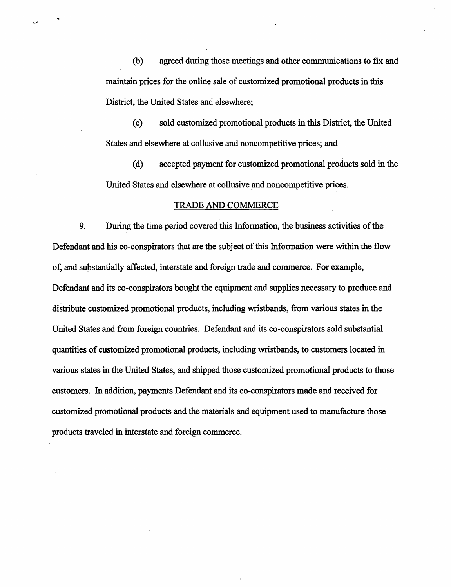(b) agreed during those meetings and other communications to fix and maintain prices for the online sale of customized promotional products in this District, the United States and elsewhere;

(c) sold customized promotional products in this District, the United States and elsewhere at collusive and noncompetitive prices; and

(d) accepted payment for customized promotional products sold in the United States and elsewhere at collusive and noncompetitive prices.

#### TRADE AND COMMERCE

9. During the time period covered this Information, the business activities of the Defendant and his co-conspirators that are the subject of this Information were within the flow of, and substantially affected, interstate and foreign trade and commerce. For example, Defendant and its co-conspirators bought the equipment and supplies necessary to produce and distribute customized promotional products, including wristbands, from various states in the United States and from foreign countries. Defendant and its co-conspirators sold substantial quantities of customized promotional products, including wristbands, to customers located in various states in the United States, and shipped those customized promotional products to those customers. In addition, payments Defendant and its co-conspirators made and received for customized promotional products and the materials and equipment used to manufacture those products traveled in interstate and foreign commerce.